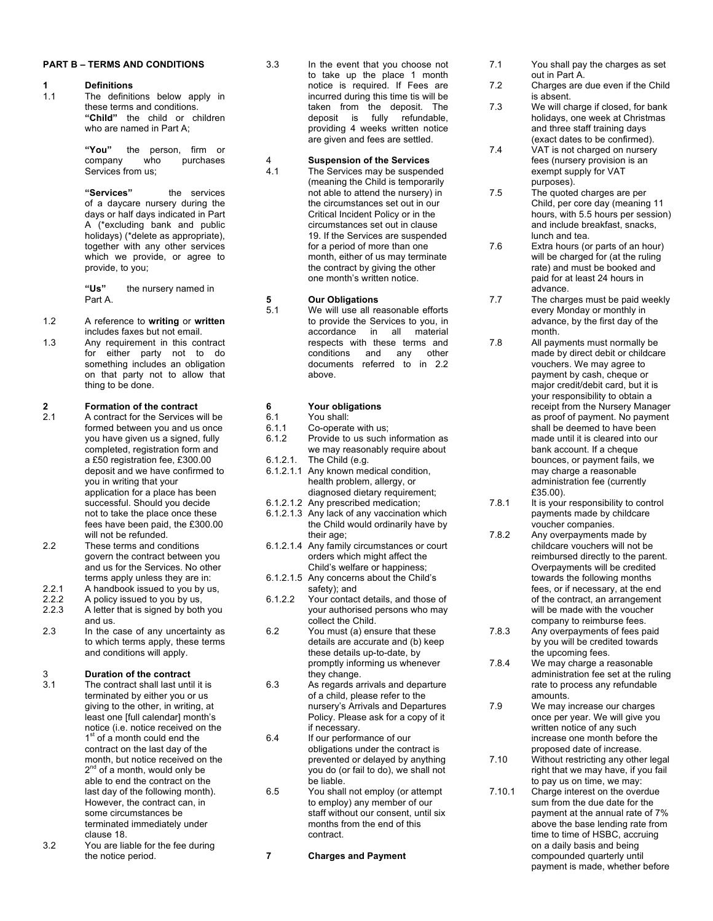### **PART B – TERMS AND CONDITIONS**

# **1 Definitions**

The definitions below apply in these terms and conditions. **"Child"** the child or children who are named in Part A;

> **"You"** the person, firm or  $w$ ho purchases Services from us;

**"Services"** the services of a daycare nursery during the days or half days indicated in Part A (\*excluding bank and public holidays) (\*delete as appropriate), together with any other services which we provide, or agree to provide, to you;

**"Us"** the nursery named in Part A.

- 1.2 A reference to **writing** or **written** includes faxes but not email.
- 1.3 Any requirement in this contract for either party not to do something includes an obligation on that party not to allow that thing to be done.

# **2 Formation of the contract**<br>**2.1 A** contract for the Services **v**

- A contract for the Services will be formed between you and us once you have given us a signed, fully completed, registration form and a £50 registration fee, £300.00 deposit and we have confirmed to you in writing that your application for a place has been successful. Should you decide not to take the place once these fees have been paid, the £300.00 will not be refunded.
- 2.2 These terms and conditions govern the contract between you and us for the Services. No other terms apply unless they are in:
- 2.2.1 A handbook issued to you by us, 2.2.2 A policy issued to you by us,
- 2.2.3 A letter that is signed by both you
- and us. 2.3 In the case of any uncertainty as to which terms apply, these terms and conditions will apply.

# 3 **Duration of the contract**

- The contract shall last until it is terminated by either you or us giving to the other, in writing, at least one [full calendar] month's notice (i.e. notice received on the  $1<sup>st</sup>$  of a month could end the contract on the last day of the month, but notice received on the  $2<sup>nd</sup>$  of a month, would only be able to end the contract on the last day of the following month). However, the contract can, in some circumstances be terminated immediately under clause 18.
- 3.2 You are liable for the fee during the notice period.

3.3 In the event that you choose not to take up the place 1 month notice is required. If Fees are incurred during this time tis will be taken from the deposit. The<br>deposit is fully refundable. deposit is fully providing 4 weeks written notice are given and fees are settled.

# 4 **Suspension of the Services**

The Services may be suspended (meaning the Child is temporarily not able to attend the nursery) in the circumstances set out in our Critical Incident Policy or in the circumstances set out in clause 19. If the Services are suspended for a period of more than one month, either of us may terminate the contract by giving the other one month's written notice.

#### **5 Our Obligations**

5.1 We will use all reasonable efforts to provide the Services to you, in accordance in all material respects with these terms and conditions and any other documents referred to in 2.2 above.

# **6 Your obligations**

- 6.1 You shall:<br>6.1.1 Co-operate
- Co-operate with us;
- 6.1.2 Provide to us such information as we may reasonably require about 6.1.2.1. The Child (e.g.
- 
- 6.1.2.1.1 Any known medical condition, health problem, allergy, or diagnosed dietary requirement;
- 6.1.2.1.2 Any prescribed medication;
- 6.1.2.1.3 Any lack of any vaccination which the Child would ordinarily have by their age;
- 6.1.2.1.4 Any family circumstances or court orders which might affect the Child's welfare or happiness;
- 6.1.2.1.5 Any concerns about the Child's safety); and
- 6.1.2.2 Your contact details, and those of your authorised persons who may collect the Child.
- 6.2 You must (a) ensure that these details are accurate and (b) keep these details up-to-date, by promptly informing us whenever they change.
- 6.3 As regards arrivals and departure of a child, please refer to the nursery's Arrivals and Departures Policy. Please ask for a copy of it if necessary.
- 6.4 If our performance of our obligations under the contract is prevented or delayed by anything you do (or fail to do), we shall not be liable.
- 6.5 You shall not employ (or attempt to employ) any member of our staff without our consent, until six months from the end of this contract.

**7 Charges and Payment** 

- 7.1 You shall pay the charges as set out in Part A.
- 7.2 Charges are due even if the Child is absent.
- 7.3 We will charge if closed, for bank holidays, one week at Christmas and three staff training days (exact dates to be confirmed).
- 7.4 VAT is not charged on nursery fees (nursery provision is an exempt supply for VAT purposes).

7.5 The quoted charges are per Child, per core day (meaning 11 hours, with 5.5 hours per session) and include breakfast, snacks, lunch and tea.

7.6 Extra hours (or parts of an hour) will be charged for (at the ruling rate) and must be booked and paid for at least 24 hours in advance.

- 7.7 The charges must be paid weekly every Monday or monthly in advance, by the first day of the month.
- 7.8 All payments must normally be made by direct debit or childcare vouchers. We may agree to payment by cash, cheque or major credit/debit card, but it is your responsibility to obtain a receipt from the Nursery Manager as proof of payment. No payment shall be deemed to have been made until it is cleared into our bank account. If a cheque bounces, or payment fails, we may charge a reasonable administration fee (currently £35.00).
- 7.8.1 It is your responsibility to control payments made by childcare voucher companies.
- 7.8.2 Any overpayments made by childcare vouchers will not be reimbursed directly to the parent. Overpayments will be credited towards the following months fees, or if necessary, at the end of the contract, an arrangement will be made with the voucher company to reimburse fees.
- 7.8.3 Any overpayments of fees paid by you will be credited towards the upcoming fees.
- 7.8.4 We may charge a reasonable administration fee set at the ruling rate to process any refundable amounts.
- 7.9 We may increase our charges once per year. We will give you written notice of any such increase one month before the proposed date of increase.
- 7.10 Without restricting any other legal right that we may have, if you fail to pay us on time, we may:
- 7.10.1 Charge interest on the overdue sum from the due date for the payment at the annual rate of 7% above the base lending rate from time to time of HSBC, accruing on a daily basis and being compounded quarterly until payment is made, whether before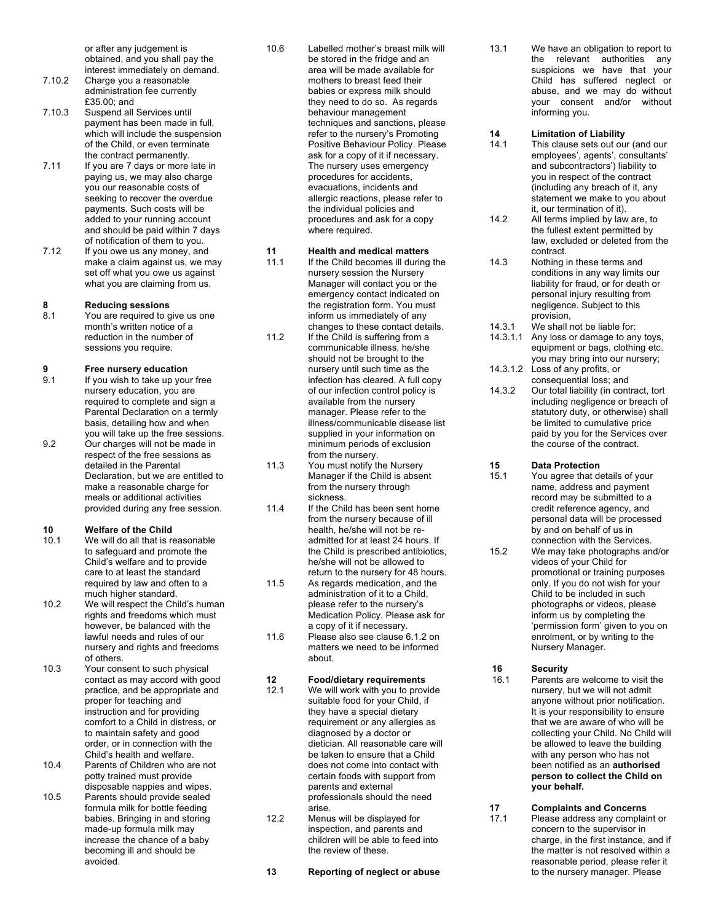or after any judgement is obtained, and you shall pay the interest immediately on demand.

- 7.10.2 Charge you a reasonable administration fee currently £35.00; and
- 7.10.3 Suspend all Services until payment has been made in full, which will include the suspension of the Child, or even terminate the contract permanently.
- 7.11 If you are 7 days or more late in paying us, we may also charge you our reasonable costs of seeking to recover the overdue payments. Such costs will be added to your running account and should be paid within 7 days of notification of them to you.
- 7.12 If you owe us any money, and make a claim against us, we may set off what you owe us against what you are claiming from us.

### **8 Reducing sessions**

8.1 You are required to give us one month's written notice of a reduction in the number of sessions you require.

### **9 Fr ee nursery education**

9.1 If you wish to take up your free nursery education, you are required to complete and sign a Parental Declaration on a termly basis, detailing how and when you will take up the free sessions. 9.2 Our charges will not be made in respect of the free sessions as detailed in the Parental Declaration, but we are entitled to make a reasonable charge for meals or additional activities provided during any free session.

# **10 Welfare of the Child**<br>**10.1** We will do all that is re

- We will do all that is reasonable to safeguard and promote the Child's welfare and to provide care to at least the standard required by law and often to a much higher standard.
- 10.2 We will respect the Child's human rights and freedoms which must however, be balanced with the lawful needs and rules of our nursery and rights and freedoms of others.
- 10.3 Your consent to such physical contact as may accord with good practice, and be appropriate and proper for teaching and instruction and for providing comfort to a Child in distress, or to maintain safety and good order, or in connection with the Child's health and welfare.
- 10.4 Parents of Children who are not potty trained must provide disposable nappies and wipes.
- 10.5 Parents should provide sealed formula milk for bottle feeding babies. Bringing in and storing made -up formula milk may increase the chance of a baby becoming ill and should be avoided.

10.6 Labelled mother's breast milk will be stored in the fridge and an area will be made available for mothers to breast feed their babies or express milk should they need to do so. As regards behaviour management techniques and sanctions, please refer to the nursery's Promoting Positive Behaviour Policy. Please ask for a copy of it if necessary. The nursery uses emergency procedures for accidents, evacuations, incidents and allergic reactions, please refer to the individual policies and procedures and ask for a copy where required.

### **11 Health and medical matters**

- 11.1 If the Child becomes ill during the nursery session the Nursery Manager will contact you or the emergency contact indicated on the registration form. You must inform us immediately of any changes to these contact details.
- 11.2 If the Child is suffering from a communicable illness, he/she should not be brought to the nursery until such time as the infection has cleared. A full copy of our infection control policy is available from the nursery manager. Please refer to the illness/communicable disease list supplied in your information on minimum periods of exclusion from the nursery.
- 11.3 You must notify the Nursery Manager if the Child is absent from the nursery through sickness.
- 11.4 If the Child has been sent home from the nursery because of ill health, he/she will not be re admitted for at least 24 hours. If the Child is prescribed antibiotics, he/she will not be allowed to return to the nursery for 48 hours.
- 11.5 As regards medication, and the administration of it to a Child, please refer to the nursery's Medication Policy. Please ask for a copy of it if necessary.
- 11.6 Please also see clause 6.1.2 on matters we need to be informed about.

# **12 Food/dietary requirements**

- We will work with you to provide suitable food for your Child, if they have a special dietary requirement or any allergies as diagnosed by a doctor or dietician. All reasonable care will be taken to ensure that a Child does not come into contact with certain foods with support from parents and external professionals should the need arise.
- 12.2 Menus will be displayed for inspection, and parents and children will be able to feed into the review of these.

**13 Reporting of neglect or abuse**

13.1 We have an obligation to report to the relevant authorities any suspicions we have that your Child has suffered neglect or abuse, and we may do without your consent and/or without informing you.

#### **14 Limitation of Liability**

- 14.1 This clause sets out our (and our employees', agents', consultants' and subcontractors') liability to you in respect of the contract (including any breach of it, any statement we make to you about it, our termination of it).
- 14.2 All terms implied by law are, to the fullest extent permitted by law, excluded or deleted from the contract.
- 14. Nothing in these terms and conditions in any way limits our liability for fraud, or for death or personal injury resulting from negligence. Subject to this provision,
- 14.3.1 We shall not be liable for:
- 14.3.1.1 Any loss or damage to any toys, equipment or bags, clothing etc. you may bring into our nursery;
- 14.3.1.2 Loss of any profits, or consequential loss; and
- 14.3.2 Our total liability (in contract, tort including negligence or breach of statutory duty, or otherwise) shall be limited to cumulative price paid by you for the Services over the course of the contract.

#### **15 Data Protection**

- 15.1 You agree that details of your name, address and payment record may be submitted to a credit reference agency, and personal data will be processed by and on behalf of us in connection with the Services.
- 15.2 We may take photographs and/or videos of your Child for promotional or training purposes only. If you do not wish for your Child to be included in such photographs or videos, please inform us by completing the 'permission form' given to you on enrolment, or by writing to the Nursery Manager.

### **16 Security**

- 16.1 Parents are welcome to visit the nursery, but we will not admit anyone without prior notification. It is your responsibility to ensure that we are aware of who will be collecting your Child. No Child will be allowed to leave the building with any person who has not been notified as an **authorised person to collect the Child on your behalf.**
- **17 Complaints and Concerns** Please address any complaint or concern to the supervisor in charge, in the first instance, and if the matter is not resolved within a reasonable period, please refer it to the nursery manager. Please